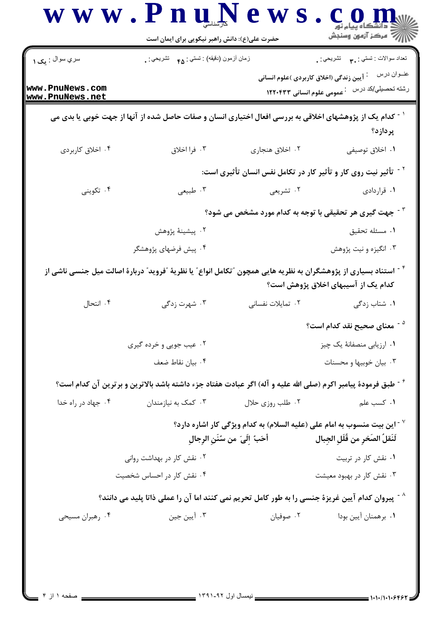|                                    | حضرت علی(ع): دانش راهبر نیکویی برای ایمان است                                                                                           |                                                                                                                  | رِ آزمون وسنڊش                           |
|------------------------------------|-----------------------------------------------------------------------------------------------------------------------------------------|------------------------------------------------------------------------------------------------------------------|------------------------------------------|
| سري سوال : يک ۱                    | زمان أزمون (دقيقه) : تستي : ۴۵ — تشريحي : .                                                                                             |                                                                                                                  | تعداد سوالات : تستي : ٩. مسمد تشريحي : . |
| www.PnuNews.com<br>www.PnuNews.net |                                                                                                                                         | <sup>:</sup> آیین زندگی (اخلاق کاربردی )علوم انسانی<br><sup>.</sup> عمومی علوم انسانی ۱۲۲۰۴۳۳                    | عنــوان درس<br>رشته تحصيلي/كد درس        |
|                                    | <sup>11</sup> کدام یک از پژوهشهای اخلاقی به بررسی افعال اختیاری انسان و صفات حاصل شده از آنها از جهت خوبی یا بدی می                     |                                                                                                                  | پردازد؟                                  |
| ۰۴ اخلاق کاربردی                   | ۰۳ فرا اخلاق                                                                                                                            | ٠٢ اخلاق هنجاري                                                                                                  | ٠١. اخلاق توصيفي                         |
|                                    |                                                                                                                                         | <sup>۲ -</sup> تأثیر نیت روی کار و تأثیر کار در تکامل نفس انسان تأثیری است:                                      |                                          |
| ۰۴ تکوینی                          | ۰۳ طبیعی                                                                                                                                | ۲. تشریعی                                                                                                        | ۰۱ قراردادی                              |
|                                    | <sup>۲ -</sup> جهت گیری هر تحقیقی با توجه به کدام مورد مشخص می شود؟                                                                     |                                                                                                                  |                                          |
|                                    | ۰۲ پیشینهٔ پژوهش                                                                                                                        |                                                                                                                  | ٠١ مسئله تحقيق                           |
|                                    | ۰۴ پیش فرضهای پژوهشگر                                                                                                                   |                                                                                                                  | ۰۳ انگیزه و نیت پژوهش                    |
|                                    | <sup>۲</sup> <sup>-</sup> استناد بسیاری از پژوهشگران به نظریه هایی همچون ″تکامل انواع″ یا نظریهٔ ″فروید″ دربارهٔ اصالت میل جنسی ناشی از |                                                                                                                  | کدام یک از آسیبهای اخلاق پژوهش است؟      |
| ۰۴ انتحال                          | ۰۳ شهرت زدگی                                                                                                                            | ۰۲ تمایلات نفسانی                                                                                                | ۰۱ شتاب زدگی                             |
|                                    |                                                                                                                                         |                                                                                                                  | <sup>۵ -</sup> معنای صحیح نقد کدام است؟  |
|                                    | ۰۲ عیب جویی و خرده گیری                                                                                                                 |                                                                                                                  | ۰۱ ارزیابی منصفانهٔ یک چیز               |
|                                    | ۰۴ بيان نقاط ضعف                                                                                                                        |                                                                                                                  | ۰۳ بیان خوبیها و محسنات                  |
|                                    | گت طبق فرمودهٔ پیامبر اکرم (صلی الله علیه و آله) اگر عبادت هفتاد جزء داشته باشد بالاترین و برترین آن کدام است؟                          |                                                                                                                  |                                          |
| ۰۴ جهاد در راه خدا                 | ۰۳ کمک به نیازمندان                                                                                                                     | ۰۲ طلب روزي حلال                                                                                                 | ٠١ كسب علم                               |
|                                    |                                                                                                                                         | این بیت منسوب به امام علی (علیه السلام) به کدام ویژگی کار اشاره دارد؟ ''<br>أَحَبُ ۚ إِلَى ۖ من سُنَنِ الرِّجالِ | لَنَقلَ الصَحْرِ من قُلَلِ الجبال        |
|                                    | ۰۲ نقش کار در بهداشت روانی                                                                                                              |                                                                                                                  | ۰۱ نقش کار در تربیت                      |
|                                    | ۰۴ نقش کار در احساس شخصیت                                                                                                               |                                                                                                                  | ۰۳ نقش کار در بهبود معیشت                |
|                                    | ^ - پیروان کدام آیین غریزهٔ جنسی را به طور کامل تحریم نمی کنند اما آن را عملی ذاتا پلید می دانند؟                                       |                                                                                                                  |                                          |
| ۰۴ رهبران مسیحی                    | ۰۳ آیین جین                                                                                                                             | ۰۲ صوفیان                                                                                                        | ٠١. برهمنان آيين بودا                    |

<u>in de la p</u>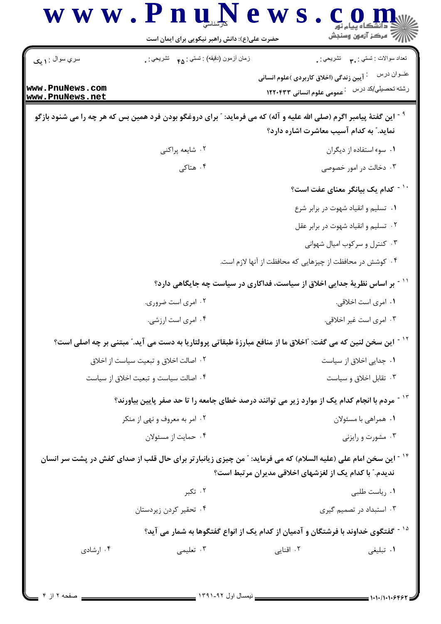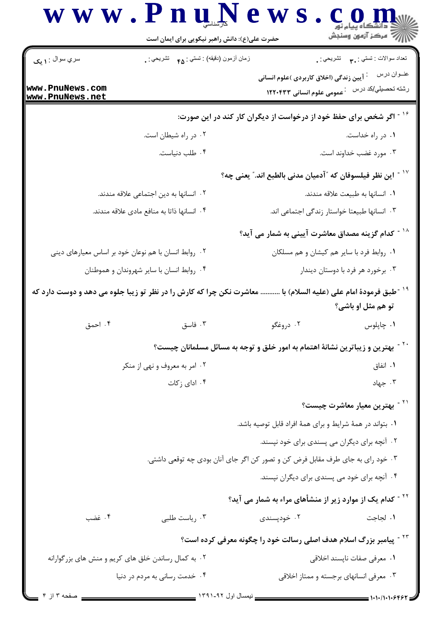|                                                      | حضرت علی(ع): دانش راهبر نیکویی برای ایمان است                                                                           |                                                                               | رآب آمرڪز آزمون وسنڊش                                |
|------------------------------------------------------|-------------------------------------------------------------------------------------------------------------------------|-------------------------------------------------------------------------------|------------------------------------------------------|
| $\parallel$ سري سوال : ۱ یک                          | زمان أزمون (دقيقه) : تستي : <sub>۴۵</sub> تشريحي : <sub>.</sub>                                                         |                                                                               | تعداد سوالات : تستي : پم       تشريحي : <sub>.</sub> |
|                                                      |                                                                                                                         | آیین زندگی (اخلاق کاربردی )علوم انسانی                                        | عنــوان درس                                          |
| www.PnuNews.com<br>www.PnuNews.net                   |                                                                                                                         | <b>127047 میں علوم انسانی ۱۲۲۰۴۳۳</b>                                         | رشته تحصيلي/كد درس                                   |
|                                                      |                                                                                                                         | اگر شخص برای حفظ خود از درخواست از دیگران کار کند در این صورت:                |                                                      |
|                                                      | ۰۲ در راه شیطان است.                                                                                                    |                                                                               | ۰۱ در راه خداست.                                     |
|                                                      | ۰۴ طلب دنياست.                                                                                                          |                                                                               | ۰۳ مورد غضب خداوند است.                              |
|                                                      |                                                                                                                         | این نظر فیلسوفان که ″آدمیان مدنی بالطبع اند.″ یعنی چه؟                        |                                                      |
| ۰۲ انسانها به دین اجتماعی علاقه مندند.               |                                                                                                                         |                                                                               | ٠١. انسانها به طبيعت علاقه مندند.                    |
| ۰۴ انسانها ذاتا به منافع مادی علاقه مندند.           |                                                                                                                         |                                                                               | ۰۳ انسانها طبیعتا خواستار زندگی اجتماعی اند.         |
|                                                      |                                                                                                                         | کدام گزینه مصداق معاشرت آیینی به شمار می آید؟                                 |                                                      |
| ۰۲ روابط انسان با هم نوعان خود بر اساس معيارهاي ديني |                                                                                                                         |                                                                               | ۰۱ روابط فرد با سایر هم کیشان و هم مسلکان            |
| ۰۴ روابط انسان با سایر شهروندان و هموطنان            |                                                                                                                         |                                                                               | ۰۳ برخورد هر فرد با دوستان دیندار                    |
|                                                      | <sup>-</sup> طبق فرمودهٔ امام علی (علیه السلام) با  معاشرت نکن چرا که کارش را در نظر تو زیبا جلوه می دهد و دوست دارد که |                                                                               |                                                      |
|                                                      |                                                                                                                         |                                                                               | تو هم مثل او باشي؟                                   |
| ۰۴ احمق                                              | ۰۳ فاسق                                                                                                                 | ۰۲ دروغگو                                                                     | ۰۱ چاپلوس                                            |
|                                                      | بهترین و زیباترین نشانهٔ اهتمام به امور خلق و توجه به مسائل مسلمانان چیست؟                                              |                                                                               |                                                      |
| ۰۲ امر به معروف و نهی از منکر                        |                                                                                                                         |                                                                               | ۰۱ انفاق                                             |
|                                                      | ۰۴ ادای زکات                                                                                                            |                                                                               | ب جهاد $\cdot$                                       |
|                                                      |                                                                                                                         |                                                                               | <sup>۲۱ -</sup> بهترین معیار معاشرت چیست؟            |
|                                                      |                                                                                                                         | ۰۱ بتواند در همهٔ شرایط و برای همهٔ افراد قابل توصیه باشد.                    |                                                      |
|                                                      |                                                                                                                         | ۰۲ آنچه برای دیگران می پسندی برای خود نپسند.                                  |                                                      |
|                                                      | ۰۳ خود رای به جای طرف مقابل فرض کن و تصور کن اگر جای آنان بودی چه توقعی داشتی.                                          |                                                                               |                                                      |
|                                                      |                                                                                                                         | ۰۴ آنچه برای خود می پسندی برای دیگران نپسند.                                  |                                                      |
|                                                      |                                                                                                                         | <sup>۲۲ -</sup> کدام یک از موارد زیر از منشأهای مراء به شمار می آید؟          |                                                      |
| ۰۴ غضب                                               | ۰۳ رياست طلبي                                                                                                           | ۰۲ خودپسندی                                                                   | ٠١. لجاجت                                            |
|                                                      |                                                                                                                         | <sup>۲۳ -</sup> پیامبر بزرگ اسلام هدف اصلی رسالت خود را چگونه معرفی کرده است؟ |                                                      |
| ۰۲ به کمال رساندن خلق های کریم و منش های بزرگوارانه  |                                                                                                                         |                                                                               | ٠١ معرفي صفات ناپسند اخلاقي                          |
|                                                      | ۰۴ خدمت رسانی به مردم در دنیا                                                                                           |                                                                               | ۰۳ معرفی انسانهای برجسته و ممتاز اخلاقی              |
| $f \parallel f \parallel$                            | - ندمسال اول ۹۲-۱۳۹۱ -                                                                                                  |                                                                               |                                                      |